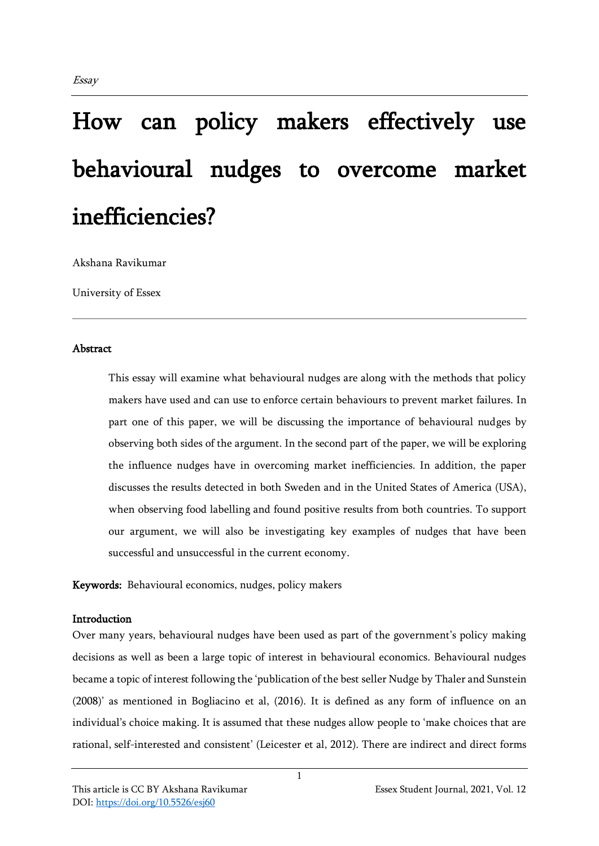# How can policy makers effectively use behavioural nudges to overcome market inefficiencies?

Akshana Ravikumar

University of Essex

#### **Abstract**

This essay will examine what behavioural nudges are along with the methods that policy makers have used and can use to enforce certain behaviours to prevent market failures. In part one of this paper, we will be discussing the importance of behavioural nudges by observing both sides of the argument. In the second part of the paper, we will be exploring the influence nudges have in overcoming market inefficiencies. In addition, the paper discusses the results detected in both Sweden and in the United States of America (USA), when observing food labelling and found positive results from both countries. To support our argument, we will also be investigating key examples of nudges that have been successful and unsuccessful in the current economy.

Keywords: Behavioural economics, nudges, policy makers

## Introduction

Over many years, behavioural nudges have been used as part of the government's policy making decisions as well as been a large topic of interest in behavioural economics. Behavioural nudges became a topic of interest following the 'publication of the best seller Nudge by Thaler and Sunstein (2008)' as mentioned in Bogliacino et al, (2016). It is defined as any form of influence on an individual's choice making. It is assumed that these nudges allow people to 'make choices that are rational, self-interested and consistent' (Leicester et al, 2012). There are indirect and direct forms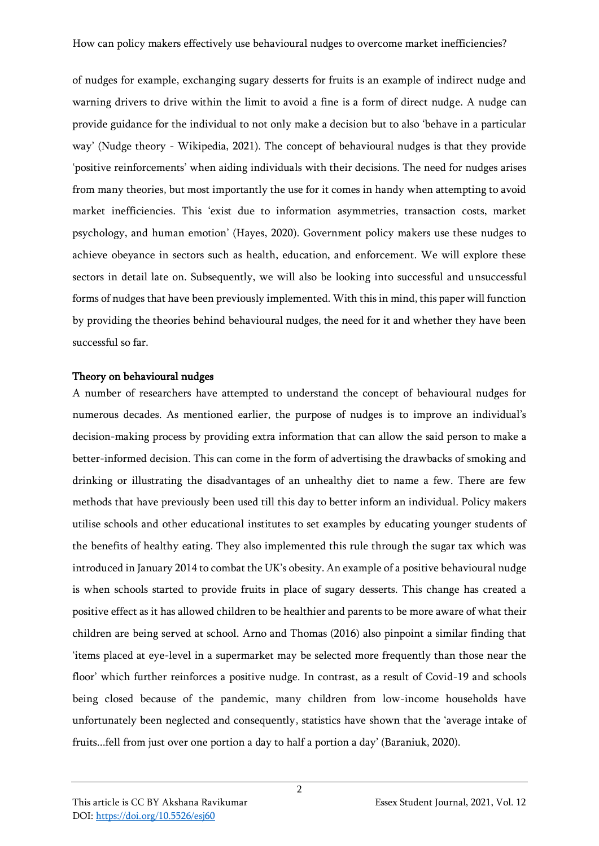of nudges for example, exchanging sugary desserts for fruits is an example of indirect nudge and warning drivers to drive within the limit to avoid a fine is a form of direct nudge. A nudge can provide guidance for the individual to not only make a decision but to also 'behave in a particular way' (Nudge theory - Wikipedia, 2021). The concept of behavioural nudges is that they provide 'positive reinforcements' when aiding individuals with their decisions. The need for nudges arises from many theories, but most importantly the use for it comes in handy when attempting to avoid market inefficiencies. This 'exist due to information asymmetries, transaction costs, market psychology, and human emotion' (Hayes, 2020). Government policy makers use these nudges to achieve obeyance in sectors such as health, education, and enforcement. We will explore these sectors in detail late on. Subsequently, we will also be looking into successful and unsuccessful forms of nudges that have been previously implemented. With this in mind, this paper will function by providing the theories behind behavioural nudges, the need for it and whether they have been successful so far.

## Theory on behavioural nudges

A number of researchers have attempted to understand the concept of behavioural nudges for numerous decades. As mentioned earlier, the purpose of nudges is to improve an individual's decision-making process by providing extra information that can allow the said person to make a better-informed decision. This can come in the form of advertising the drawbacks of smoking and drinking or illustrating the disadvantages of an unhealthy diet to name a few. There are few methods that have previously been used till this day to better inform an individual. Policy makers utilise schools and other educational institutes to set examples by educating younger students of the benefits of healthy eating. They also implemented this rule through the sugar tax which was introduced in January 2014 to combat the UK's obesity. An example of a positive behavioural nudge is when schools started to provide fruits in place of sugary desserts. This change has created a positive effect as it has allowed children to be healthier and parents to be more aware of what their children are being served at school. Arno and Thomas (2016) also pinpoint a similar finding that 'items placed at eye-level in a supermarket may be selected more frequently than those near the floor' which further reinforces a positive nudge. In contrast, as a result of Covid-19 and schools being closed because of the pandemic, many children from low-income households have unfortunately been neglected and consequently, statistics have shown that the 'average intake of fruits...fell from just over one portion a day to half a portion a day' (Baraniuk, 2020).

2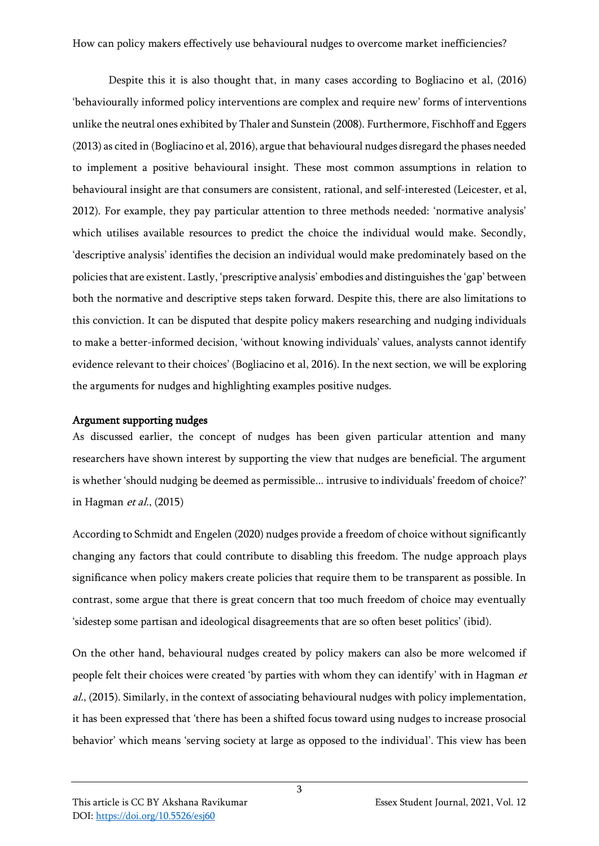Despite this it is also thought that, in many cases according to Bogliacino et al, (2016) 'behaviourally informed policy interventions are complex and require new' forms of interventions unlike the neutral ones exhibited by Thaler and Sunstein (2008). Furthermore, Fischhoff and Eggers (2013) as cited in (Bogliacino et al, 2016), argue that behavioural nudges disregard the phases needed to implement a positive behavioural insight. These most common assumptions in relation to behavioural insight are that consumers are consistent, rational, and self-interested (Leicester, et al, 2012). For example, they pay particular attention to three methods needed: 'normative analysis' which utilises available resources to predict the choice the individual would make. Secondly, 'descriptive analysis' identifies the decision an individual would make predominately based on the policies that are existent. Lastly, 'prescriptive analysis' embodies and distinguishes the 'gap' between both the normative and descriptive steps taken forward. Despite this, there are also limitations to this conviction. It can be disputed that despite policy makers researching and nudging individuals to make a better-informed decision, 'without knowing individuals' values, analysts cannot identify evidence relevant to their choices' (Bogliacino et al, 2016). In the next section, we will be exploring the arguments for nudges and highlighting examples positive nudges.

## Argument supporting nudges

As discussed earlier, the concept of nudges has been given particular attention and many researchers have shown interest by supporting the view that nudges are beneficial. The argument is whether 'should nudging be deemed as permissible... intrusive to individuals' freedom of choice?' in Hagman *et al.*,  $(2015)$ 

According to Schmidt and Engelen (2020) nudges provide a freedom of choice without significantly changing any factors that could contribute to disabling this freedom. The nudge approach plays significance when policy makers create policies that require them to be transparent as possible. In contrast, some argue that there is great concern that too much freedom of choice may eventually 'sidestep some partisan and ideological disagreements that are so often beset politics' (ibid).

On the other hand, behavioural nudges created by policy makers can also be more welcomed if people felt their choices were created 'by parties with whom they can identify' with in Hagman et al., (2015). Similarly, in the context of associating behavioural nudges with policy implementation, it has been expressed that 'there has been a shifted focus toward using nudges to increase prosocial behavior' which means 'serving society at large as opposed to the individual'. This view has been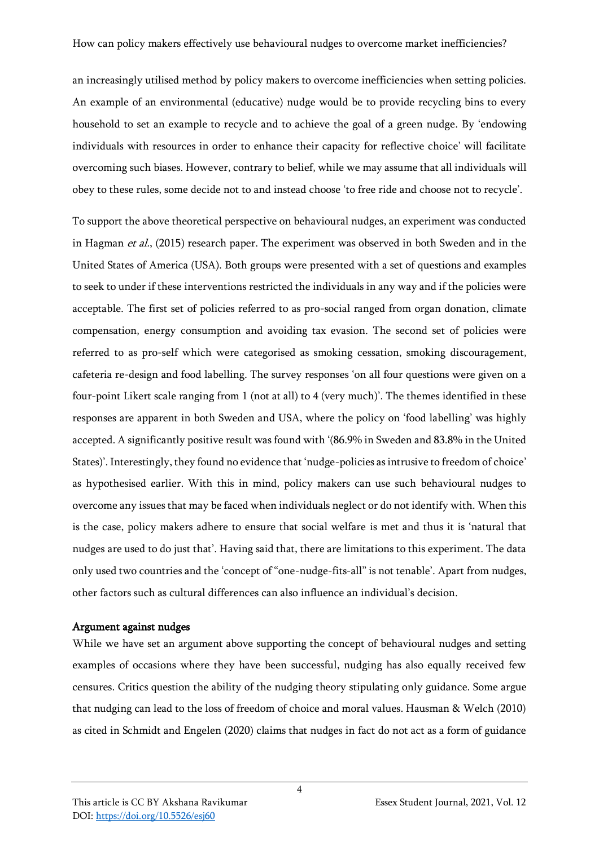an increasingly utilised method by policy makers to overcome inefficiencies when setting policies. An example of an environmental (educative) nudge would be to provide recycling bins to every household to set an example to recycle and to achieve the goal of a green nudge. By 'endowing individuals with resources in order to enhance their capacity for reflective choice' will facilitate overcoming such biases. However, contrary to belief, while we may assume that all individuals will obey to these rules, some decide not to and instead choose 'to free ride and choose not to recycle'.

To support the above theoretical perspective on behavioural nudges, an experiment was conducted in Hagman et al., (2015) research paper. The experiment was observed in both Sweden and in the United States of America (USA). Both groups were presented with a set of questions and examples to seek to under if these interventions restricted the individuals in any way and if the policies were acceptable. The first set of policies referred to as pro-social ranged from organ donation, climate compensation, energy consumption and avoiding tax evasion. The second set of policies were referred to as pro-self which were categorised as smoking cessation, smoking discouragement, cafeteria re-design and food labelling. The survey responses 'on all four questions were given on a four-point Likert scale ranging from 1 (not at all) to 4 (very much)'. The themes identified in these responses are apparent in both Sweden and USA, where the policy on 'food labelling' was highly accepted. A significantly positive result was found with '(86.9% in Sweden and 83.8% in the United States)'. Interestingly, they found no evidence that 'nudge-policies as intrusive to freedom of choice' as hypothesised earlier. With this in mind, policy makers can use such behavioural nudges to overcome any issues that may be faced when individuals neglect or do not identify with. When this is the case, policy makers adhere to ensure that social welfare is met and thus it is 'natural that nudges are used to do just that'. Having said that, there are limitations to this experiment. The data only used two countries and the 'concept of "one-nudge-fits-all" is not tenable'. Apart from nudges, other factors such as cultural differences can also influence an individual's decision.

## Argument against nudges

While we have set an argument above supporting the concept of behavioural nudges and setting examples of occasions where they have been successful, nudging has also equally received few censures. Critics question the ability of the nudging theory stipulating only guidance. Some argue that nudging can lead to the loss of freedom of choice and moral values. Hausman & Welch (2010) as cited in Schmidt and Engelen (2020) claims that nudges in fact do not act as a form of guidance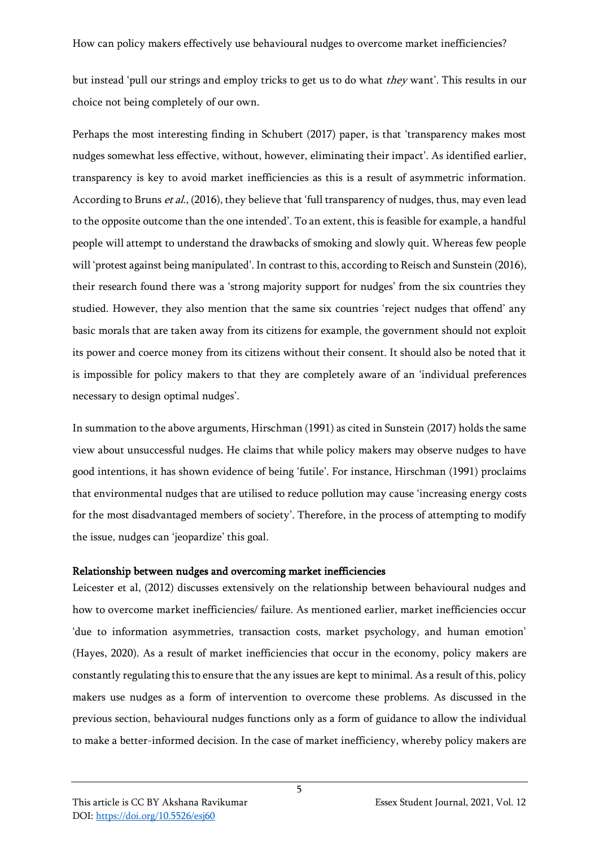but instead 'pull our strings and employ tricks to get us to do what *they* want'. This results in our choice not being completely of our own.

Perhaps the most interesting finding in Schubert (2017) paper, is that 'transparency makes most nudges somewhat less effective, without, however, eliminating their impact'. As identified earlier, transparency is key to avoid market inefficiencies as this is a result of asymmetric information. According to Bruns *et al.*, (2016), they believe that 'full transparency of nudges, thus, may even lead to the opposite outcome than the one intended'. To an extent, this is feasible for example, a handful people will attempt to understand the drawbacks of smoking and slowly quit. Whereas few people will 'protest against being manipulated'. In contrast to this, according to Reisch and Sunstein (2016), their research found there was a 'strong majority support for nudges' from the six countries they studied. However, they also mention that the same six countries 'reject nudges that offend' any basic morals that are taken away from its citizens for example, the government should not exploit its power and coerce money from its citizens without their consent. It should also be noted that it is impossible for policy makers to that they are completely aware of an 'individual preferences necessary to design optimal nudges'.

In summation to the above arguments, Hirschman (1991) as cited in Sunstein (2017) holds the same view about unsuccessful nudges. He claims that while policy makers may observe nudges to have good intentions, it has shown evidence of being 'futile'. For instance, Hirschman (1991) proclaims that environmental nudges that are utilised to reduce pollution may cause 'increasing energy costs for the most disadvantaged members of society'. Therefore, in the process of attempting to modify the issue, nudges can 'jeopardize' this goal.

## Relationship between nudges and overcoming market inefficiencies

Leicester et al, (2012) discusses extensively on the relationship between behavioural nudges and how to overcome market inefficiencies/ failure. As mentioned earlier, market inefficiencies occur 'due to information asymmetries, transaction costs, market psychology, and human emotion' (Hayes, 2020). As a result of market inefficiencies that occur in the economy, policy makers are constantly regulating this to ensure that the any issues are kept to minimal. As a result of this, policy makers use nudges as a form of intervention to overcome these problems. As discussed in the previous section, behavioural nudges functions only as a form of guidance to allow the individual to make a better-informed decision. In the case of market inefficiency, whereby policy makers are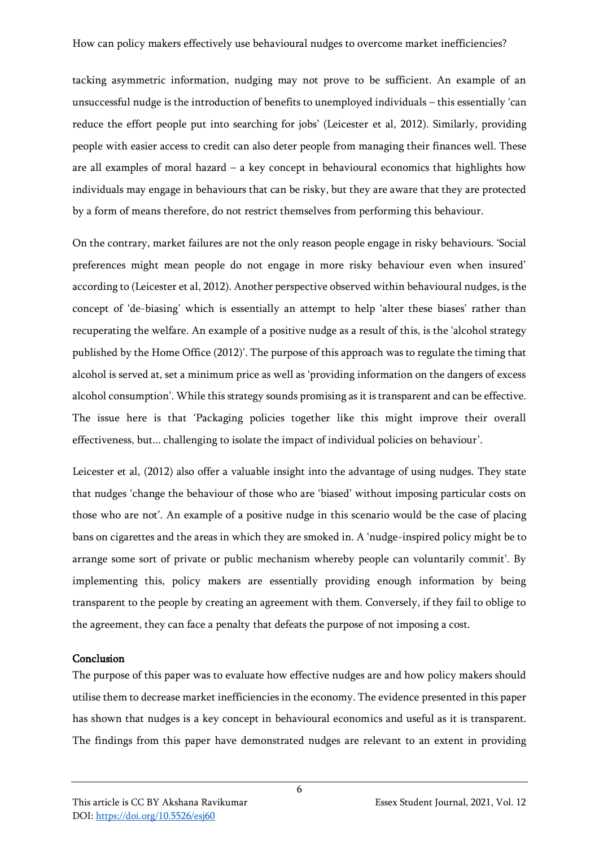tacking asymmetric information, nudging may not prove to be sufficient. An example of an unsuccessful nudge is the introduction of benefits to unemployed individuals – this essentially 'can reduce the effort people put into searching for jobs' (Leicester et al, 2012). Similarly, providing people with easier access to credit can also deter people from managing their finances well. These are all examples of moral hazard – a key concept in behavioural economics that highlights how individuals may engage in behaviours that can be risky, but they are aware that they are protected by a form of means therefore, do not restrict themselves from performing this behaviour.

On the contrary, market failures are not the only reason people engage in risky behaviours. 'Social preferences might mean people do not engage in more risky behaviour even when insured' according to (Leicester et al, 2012). Another perspective observed within behavioural nudges, is the concept of 'de-biasing' which is essentially an attempt to help 'alter these biases' rather than recuperating the welfare. An example of a positive nudge as a result of this, is the 'alcohol strategy published by the Home Office (2012)'. The purpose of this approach was to regulate the timing that alcohol is served at, set a minimum price as well as 'providing information on the dangers of excess alcohol consumption'. While this strategy sounds promising as it is transparent and can be effective. The issue here is that 'Packaging policies together like this might improve their overall effectiveness, but... challenging to isolate the impact of individual policies on behaviour'.

Leicester et al, (2012) also offer a valuable insight into the advantage of using nudges. They state that nudges 'change the behaviour of those who are 'biased' without imposing particular costs on those who are not'. An example of a positive nudge in this scenario would be the case of placing bans on cigarettes and the areas in which they are smoked in. A 'nudge-inspired policy might be to arrange some sort of private or public mechanism whereby people can voluntarily commit'. By implementing this, policy makers are essentially providing enough information by being transparent to the people by creating an agreement with them. Conversely, if they fail to oblige to the agreement, they can face a penalty that defeats the purpose of not imposing a cost.

## Conclusion

The purpose of this paper was to evaluate how effective nudges are and how policy makers should utilise them to decrease market inefficiencies in the economy. The evidence presented in this paper has shown that nudges is a key concept in behavioural economics and useful as it is transparent. The findings from this paper have demonstrated nudges are relevant to an extent in providing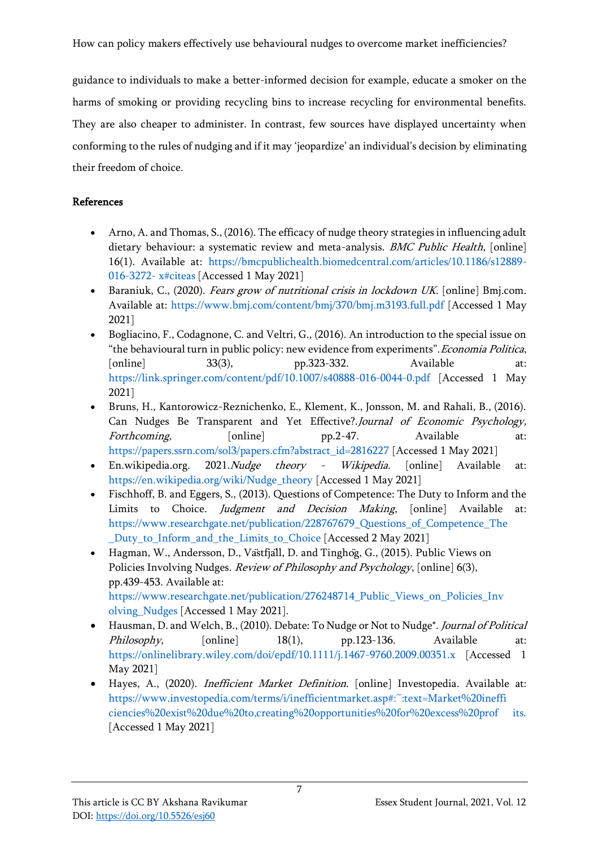How can policy makers effectively use behavioural nudges to overcome market inefficiencies?

guidance to individuals to make a better-informed decision for example, educate a smoker on the harms of smoking or providing recycling bins to increase recycling for environmental benefits. They are also cheaper to administer. In contrast, few sources have displayed uncertainty when conforming to the rules of nudging and if it may 'jeopardize' an individual's decision by eliminating their freedom of choice.

## References

- Arno, A. and Thomas, S., (2016). The efficacy of nudge theory strategies in influencing adult dietary behaviour: a systematic review and meta-analysis. BMC Public Health, [online] 16(1). Available at: https://bmcpublichealth.biomedcentral.com/articles/10.1186/s12889- 016-3272- x#citeas [Accessed 1 May 2021]
- Baraniuk, C., (2020). Fears grow of nutritional crisis in lockdown UK. [online] Bmj.com. Available at: https://www.bmj.com/content/bmj/370/bmj.m3193.full.pdf [Accessed 1 May 2021]
- Bogliacino, F., Codagnone, C. and Veltri, G., (2016). An introduction to the special issue on "the behavioural turn in public policy: new evidence from experiments".Economia Politica, [online] 33(3), pp.323-332. Available at: https://link.springer.com/content/pdf/10.1007/s40888-016-0044-0.pdf [Accessed 1 May 2021]
- Bruns, H., Kantorowicz-Reznichenko, E., Klement, K., Jonsson, M. and Rahali, B., (2016). Can Nudges Be Transparent and Yet Effective?.Journal of Economic Psychology, Forthcoming, [online] pp.2-47. Available at: https://papers.ssrn.com/sol3/papers.cfm?abstract\_id=2816227 [Accessed 1 May 2021]
- En.wikipedia.org. 2021. Nudge theory Wikipedia. [online] Available at: https://en.wikipedia.org/wiki/Nudge\_theory [Accessed 1 May 2021]
- Fischhoff, B. and Eggers, S., (2013). Questions of Competence: The Duty to Inform and the Limits to Choice. *Judgment and Decision Making*, [online] Available at: https://www.researchgate.net/publication/228767679\_Questions\_of\_Competence\_The Duty to Inform and the Limits to Choice [Accessed 2 May 2021]
- Hagman, W., Andersson, D., Västfjäll, D. and Tinghög, G., (2015). Public Views on Policies Involving Nudges. Review of Philosophy and Psychology, [online] 6(3), pp.439-453. Available at: https://www.researchgate.net/publication/276248714\_Public\_Views\_on\_Policies\_Inv olving\_Nudges [Accessed 1 May 2021].
- Hausman, D. and Welch, B., (2010). Debate: To Nudge or Not to Nudge\*. Journal of Political Philosophy, [online] 18(1), pp.123-136. Available at: https://onlinelibrary.wiley.com/doi/epdf/10.1111/j.1467-9760.2009.00351.x [Accessed 1 May 2021]
- Hayes, A., (2020). Inefficient Market Definition. [online] Investopedia. Available at: https://www.investopedia.com/terms/i/inefficientmarket.asp#:~:text=Market%20ineffi ciencies%20exist%20due%20to,creating%20opportunities%20for%20excess%20prof its. [Accessed 1 May 2021]